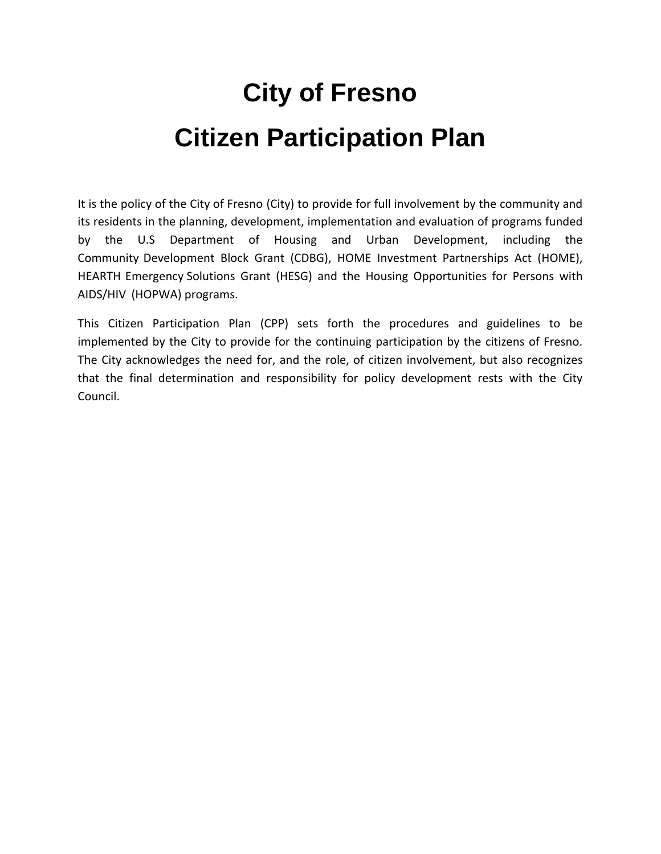# **City of Fresno Citizen Participation Plan**

It is the policy of the City of Fresno (City) to provide for full involvement by the community and its residents in the planning, development, implementation and evaluation of programs funded by the U.S Department of Housing and Urban Development, including the Community Development Block Grant (CDBG), HOME Investment Partnerships Act (HOME), HEARTH Emergency Solutions Grant (HESG) and the Housing Opportunities for Persons with AIDS/HIV (HOPWA) programs.

This Citizen Participation Plan (CPP) sets forth the procedures and guidelines to be implemented by the City to provide for the continuing participation by the citizens of Fresno. The City acknowledges the need for, and the role, of citizen involvement, but also recognizes that the final determination and responsibility for policy development rests with the City Council.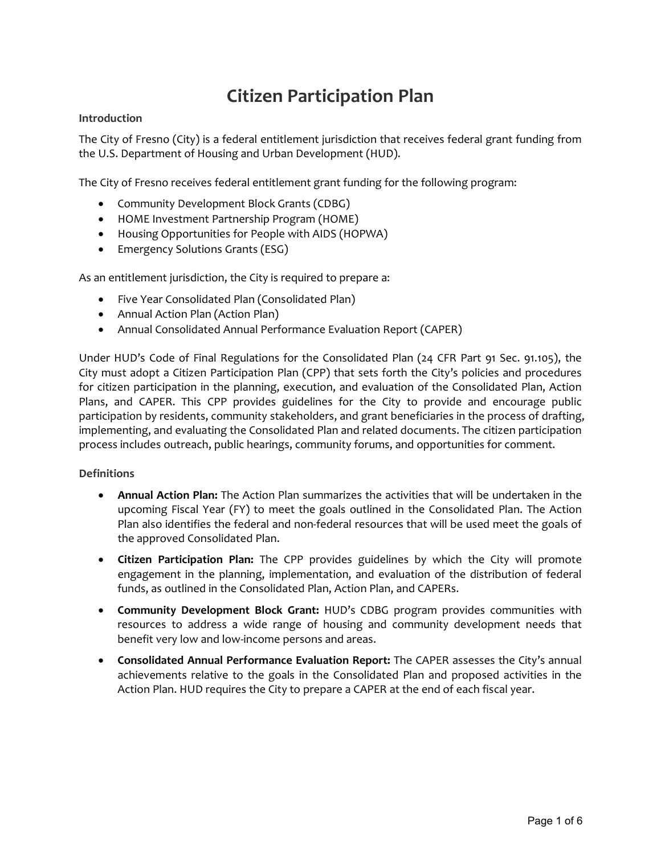## Citizen Participation Plan

#### Introduction

The City of Fresno (City) is a federal entitlement jurisdiction that receives federal grant funding from the U.S. Department of Housing and Urban Development (HUD).

The City of Fresno receives federal entitlement grant funding for the following program:

- Community Development Block Grants (CDBG)
- HOME Investment Partnership Program (HOME)
- Housing Opportunities for People with AIDS (HOPWA)
- Emergency Solutions Grants (ESG)

As an entitlement jurisdiction, the City is required to prepare a:

- Five Year Consolidated Plan (Consolidated Plan)
- Annual Action Plan (Action Plan)
- Annual Consolidated Annual Performance Evaluation Report (CAPER)

Under HUD's Code of Final Regulations for the Consolidated Plan (24 CFR Part 91 Sec. 91.105), the City must adopt a Citizen Participation Plan (CPP) that sets forth the City's policies and procedures for citizen participation in the planning, execution, and evaluation of the Consolidated Plan, Action Plans, and CAPER. This CPP provides guidelines for the City to provide and encourage public participation by residents, community stakeholders, and grant beneficiaries in the process of drafting, implementing, and evaluating the Consolidated Plan and related documents. The citizen participation process includes outreach, public hearings, community forums, and opportunities for comment.

#### **Definitions**

- Annual Action Plan: The Action Plan summarizes the activities that will be undertaken in the upcoming Fiscal Year (FY) to meet the goals outlined in the Consolidated Plan. The Action Plan also identifies the federal and non-federal resources that will be used meet the goals of the approved Consolidated Plan.
- Citizen Participation Plan: The CPP provides guidelines by which the City will promote engagement in the planning, implementation, and evaluation of the distribution of federal funds, as outlined in the Consolidated Plan, Action Plan, and CAPERs.
- Community Development Block Grant: HUD's CDBG program provides communities with resources to address a wide range of housing and community development needs that benefit very low and low-income persons and areas.
- Consolidated Annual Performance Evaluation Report: The CAPER assesses the City's annual achievements relative to the goals in the Consolidated Plan and proposed activities in the Action Plan. HUD requires the City to prepare a CAPER at the end of each fiscal year.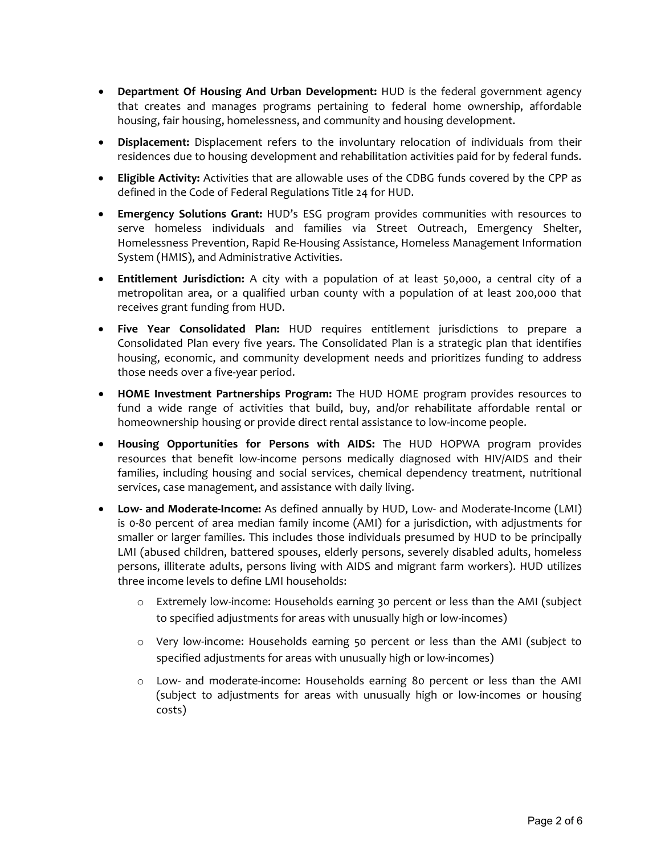- that creates and manages programs pertaining to federal home ownership, affordable housing, fair housing, homelessness, and community and housing development.
- Displacement: Displacement refers to the involuntary relocation of individuals from their residences due to housing development and rehabilitation activities paid for by federal funds.
- Eligible Activity: Activities that are allowable uses of the CDBG funds covered by the CPP as defined in the Code of Federal Regulations Title 24 for HUD.
- Emergency Solutions Grant: HUD's ESG program provides communities with resources to serve homeless individuals and families via Street Outreach, Emergency Shelter, Homelessness Prevention, Rapid Re‐Housing Assistance, Homeless Management Information System (HMIS), and Administrative Activities.
- Entitlement Jurisdiction: A city with a population of at least 50,000, a central city of a metropolitan area, or a qualified urban county with a population of at least 200,000 that receives grant funding from HUD.
- Five Year Consolidated Plan: HUD requires entitlement jurisdictions to prepare a Consolidated Plan every five years. The Consolidated Plan is a strategic plan that identifies housing, economic, and community development needs and prioritizes funding to address those needs over a five‐year period.
- HOME Investment Partnerships Program: The HUD HOME program provides resources to fund a wide range of activities that build, buy, and/or rehabilitate affordable rental or homeownership housing or provide direct rental assistance to low-income people.
- Housing Opportunities for Persons with AIDS: The HUD HOPWA program provides resources that benefit low-income persons medically diagnosed with HIV/AIDS and their families, including housing and social services, chemical dependency treatment, nutritional services, case management, and assistance with daily living.
- **Department Of Housing And Urban Development:** HUD is the federal government agency<br>
interactions and Iransiansa<sub>y</sub> and community and louising development<br>
housing fair housing thermatic grand controllary interaction of ● Low- and Moderate-Income: As defined annually by HUD, Low- and Moderate-Income (LMI) is 0‐80 percent of area median family income (AMI) for a jurisdiction, with adjustments for smaller or larger families. This includes those individuals presumed by HUD to be principally LMI (abused children, battered spouses, elderly persons, severely disabled adults, homeless persons, illiterate adults, persons living with AIDS and migrant farm workers). HUD utilizes three income levels to define LMI households:
	- o Extremely low‐income: Households earning 30 percent or less than the AMI (subject to specified adjustments for areas with unusually high or low‐incomes)
	- o Very low‐income: Households earning 50 percent or less than the AMI (subject to specified adjustments for areas with unusually high or low-incomes)
	- o Low‐ and moderate‐income: Households earning 80 percent or less than the AMI (subject to adjustments for areas with unusually high or low‐incomes or housing costs)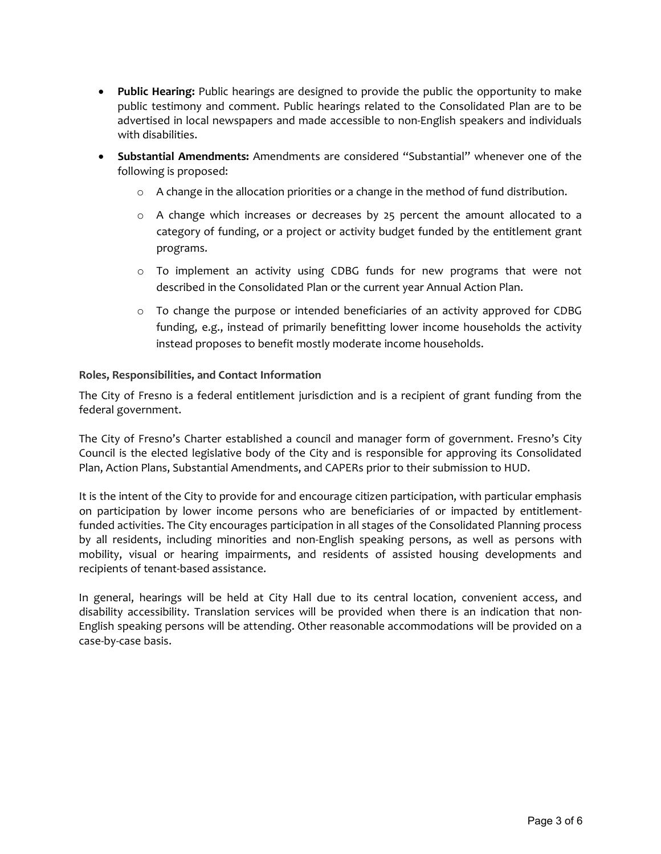- Public Hearing: Public hearings are designed to provide the public the opportunity to make public testimony and comment. Public hearings related to the Consolidated Plan are to be advertised in local newspapers and made accessible to non‐English speakers and individuals with disabilities.
- Substantial Amendments: Amendments are considered "Substantial" whenever one of the following is proposed:
	- o A change in the allocation priorities or a change in the method of fund distribution.
	- o A change which increases or decreases by 25 percent the amount allocated to a category of funding, or a project or activity budget funded by the entitlement grant programs.
	- o To implement an activity using CDBG funds for new programs that were not described in the Consolidated Plan or the current year Annual Action Plan.
	- $\circ$  To change the purpose or intended beneficiaries of an activity approved for CDBG funding, e.g., instead of primarily benefitting lower income households the activity instead proposes to benefit mostly moderate income households.

#### Roles, Responsibilities, and Contact Information

The City of Fresno is a federal entitlement jurisdiction and is a recipient of grant funding from the federal government.

The City of Fresno's Charter established a council and manager form of government. Fresno's City Council is the elected legislative body of the City and is responsible for approving its Consolidated Plan, Action Plans, Substantial Amendments, and CAPERs prior to their submission to HUD.

It is the intent of the City to provide for and encourage citizen participation, with particular emphasis on participation by lower income persons who are beneficiaries of or impacted by entitlement‐ funded activities. The City encourages participation in all stages of the Consolidated Planning process by all residents, including minorities and non-English speaking persons, as well as persons with mobility, visual or hearing impairments, and residents of assisted housing developments and recipients of tenant‐based assistance.

In general, hearings will be held at City Hall due to its central location, convenient access, and disability accessibility. Translation services will be provided when there is an indication that non‐ English speaking persons will be attending. Other reasonable accommodations will be provided on a case‐by‐case basis.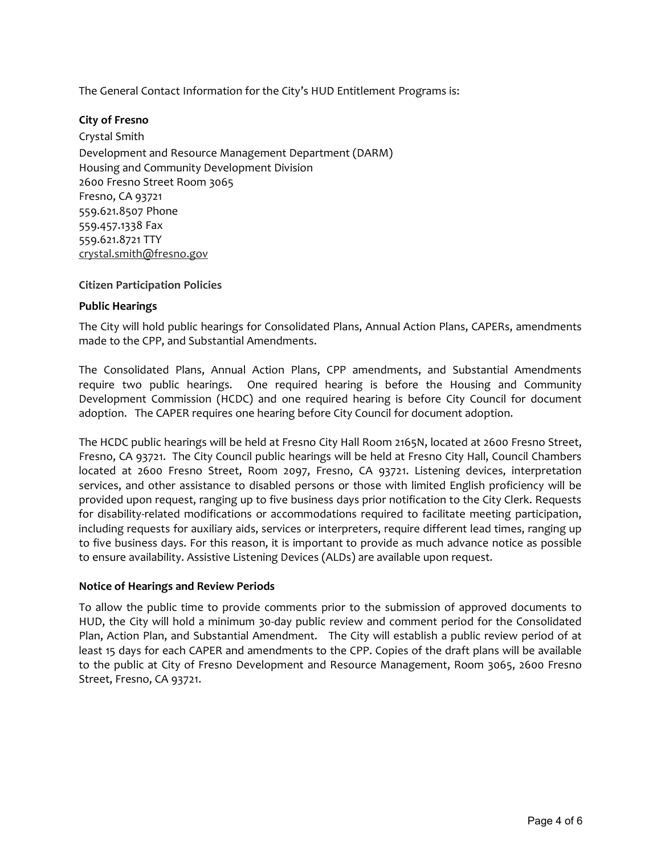#### City of Fresno

Crystal Smith Development and Resource Management Department (DARM) Housing and Community Development Division 2600 Fresno Street Room 3065 Fresno, CA 93721 559.621.8507 Phone 559.457.1338 Fax 559.621.8721 TTY crystal.smith@fresno.gov

#### Citizen Participation Policies

#### Public Hearings

The City will hold public hearings for Consolidated Plans, Annual Action Plans, CAPERs, amendments made to the CPP, and Substantial Amendments.

The Consolidated Plans, Annual Action Plans, CPP amendments, and Substantial Amendments require two public hearings. One required hearing is before the Housing and Community Development Commission (HCDC) and one required hearing is before City Council for document adoption. The CAPER requires one hearing before City Council for document adoption.

The General Contact Information for the City's HUD Entitlement Programs is:<br>
Citysti Smith<br>
Crysti Smith<br>
Crysti Smith<br>
Crysti Smith<br>
Contact Informative Development Division<br>
Housing and Community Development Division<br>
Ho The HCDC public hearings will be held at Fresno City Hall Room 2165N, located at 2600 Fresno Street, Fresno, CA 93721. The City Council public hearings will be held at Fresno City Hall, Council Chambers located at 2600 Fresno Street, Room 2097, Fresno, CA 93721. Listening devices, interpretation services, and other assistance to disabled persons or those with limited English proficiency will be provided upon request, ranging up to five business days prior notification to the City Clerk. Requests for disability-related modifications or accommodations required to facilitate meeting participation, including requests for auxiliary aids, services or interpreters, require different lead times, ranging up to five business days. For this reason, it is important to provide as much advance notice as possible to ensure availability. Assistive Listening Devices (ALDs) are available upon request.

#### Notice of Hearings and Review Periods

To allow the public time to provide comments prior to the submission of approved documents to HUD, the City will hold a minimum 30‐day public review and comment period for the Consolidated Plan, Action Plan, and Substantial Amendment. The City will establish a public review period of at least 15 days for each CAPER and amendments to the CPP. Copies of the draft plans will be available to the public at City of Fresno Development and Resource Management, Room 3065, 2600 Fresno Street, Fresno, CA 93721.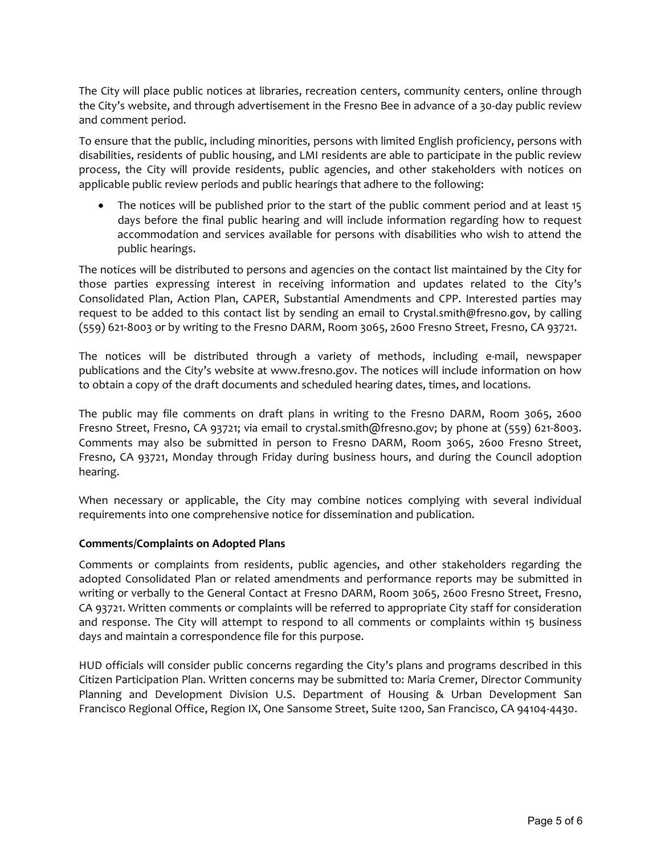The City will place public notices at libraries, recreation centers, community centers, online through the City's website, and through advertisement in the Fresno Bee in advance of a 30‐day public review and comment period.

To ensure that the public, including minorities, persons with limited English proficiency, persons with disabilities, residents of public housing, and LMI residents are able to participate in the public review process, the City will provide residents, public agencies, and other stakeholders with notices on applicable public review periods and public hearings that adhere to the following:

• The notices will be published prior to the start of the public comment period and at least 15 days before the final public hearing and will include information regarding how to request accommodation and services available for persons with disabilities who wish to attend the public hearings.

The notices will be distributed to persons and agencies on the contact list maintained by the City for those parties expressing interest in receiving information and updates related to the City's Consolidated Plan, Action Plan, CAPER, Substantial Amendments and CPP. Interested parties may request to be added to this contact list by sending an email to Crystal.smith@fresno.gov, by calling (559) 621‐8003 or by writing to the Fresno DARM, Room 3065, 2600 Fresno Street, Fresno, CA 93721.

The notices will be distributed through a variety of methods, including e-mail, newspaper publications and the City's website at www.fresno.gov. The notices will include information on how to obtain a copy of the draft documents and scheduled hearing dates, times, and locations.

The public may file comments on draft plans in writing to the Fresno DARM, Room 3065, 2600 Fresno Street, Fresno, CA 93721; via email to crystal.smith@fresno.gov; by phone at (559) 621‐8003. Comments may also be submitted in person to Fresno DARM, Room 3065, 2600 Fresno Street, Fresno, CA 93721, Monday through Friday during business hours, and during the Council adoption hearing.

When necessary or applicable, the City may combine notices complying with several individual requirements into one comprehensive notice for dissemination and publication.

#### Comments/Complaints on Adopted Plans

Comments or complaints from residents, public agencies, and other stakeholders regarding the adopted Consolidated Plan or related amendments and performance reports may be submitted in writing or verbally to the General Contact at Fresno DARM, Room 3065, 2600 Fresno Street, Fresno, CA 93721. Written comments or complaints will be referred to appropriate City staff for consideration and response. The City will attempt to respond to all comments or complaints within 15 business days and maintain a correspondence file for this purpose.

HUD officials will consider public concerns regarding the City's plans and programs described in this Citizen Participation Plan. Written concerns may be submitted to: Maria Cremer, Director Community Planning and Development Division U.S. Department of Housing & Urban Development San Francisco Regional Office, Region IX, One Sansome Street, Suite 1200, San Francisco, CA 94104‐4430.